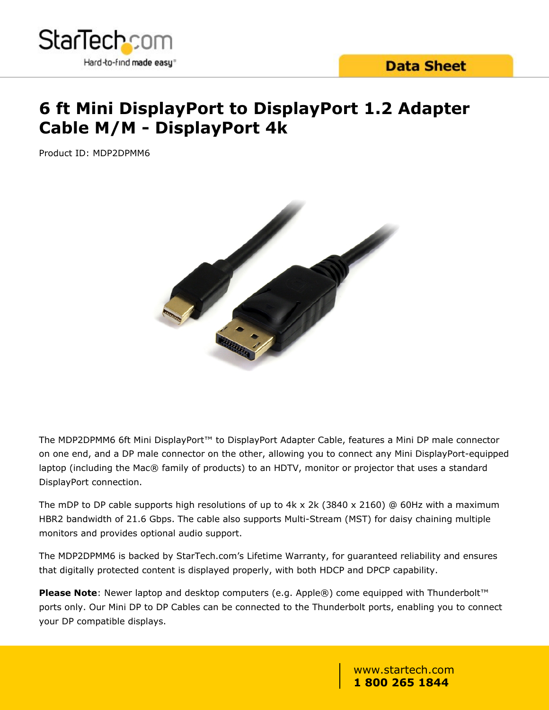

## **6 ft Mini DisplayPort to DisplayPort 1.2 Adapter Cable M/M - DisplayPort 4k**

Product ID: MDP2DPMM6



The MDP2DPMM6 6ft Mini DisplayPort™ to DisplayPort Adapter Cable, features a Mini DP male connector on one end, and a DP male connector on the other, allowing you to connect any Mini DisplayPort-equipped laptop (including the Mac® family of products) to an HDTV, monitor or projector that uses a standard DisplayPort connection.

The mDP to DP cable supports high resolutions of up to  $4k \times 2k$  (3840  $\times$  2160) @ 60Hz with a maximum HBR2 bandwidth of 21.6 Gbps. The cable also supports Multi-Stream (MST) for daisy chaining multiple monitors and provides optional audio support.

The MDP2DPMM6 is backed by StarTech.com's Lifetime Warranty, for guaranteed reliability and ensures that digitally protected content is displayed properly, with both HDCP and DPCP capability.

**Please Note**: Newer laptop and desktop computers (e.g. Apple®) come equipped with Thunderbolt™ ports only. Our Mini DP to DP Cables can be connected to the Thunderbolt ports, enabling you to connect your DP compatible displays.

> www.startech.com **1 800 265 1844**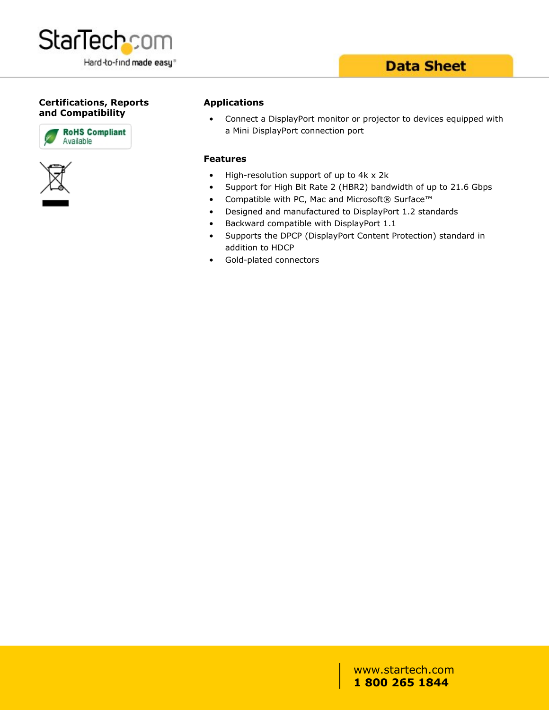

### **Data Sheet**

#### **Certifications, Reports and Compatibility**





#### **Applications**

• Connect a DisplayPort monitor or projector to devices equipped with a Mini DisplayPort connection port

#### **Features**

- High-resolution support of up to 4k x 2k
- Support for High Bit Rate 2 (HBR2) bandwidth of up to 21.6 Gbps
- Compatible with PC, Mac and Microsoft® Surface™
- Designed and manufactured to DisplayPort 1.2 standards
- Backward compatible with DisplayPort 1.1
- Supports the DPCP (DisplayPort Content Protection) standard in addition to HDCP
- Gold-plated connectors